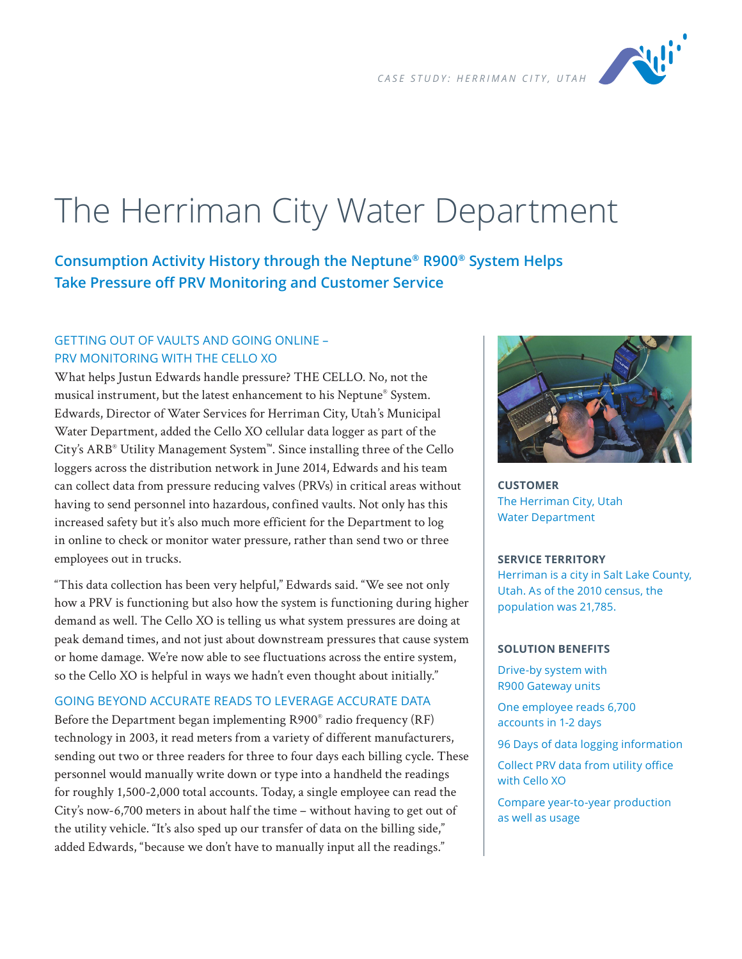

# The Herriman City Water Department

**Consumption Activity History through the Neptune® R900® System Helps Take Pressure off PRV Monitoring and Customer Service**

## GETTING OUT OF VAULTS AND GOING ONLINE – PRV MONITORING WITH THE CELLO XO

What helps Justun Edwards handle pressure? THE CELLO. No, not the musical instrument, but the latest enhancement to his Neptune® System. Edwards, Director of Water Services for Herriman City, Utah's Municipal Water Department, added the Cello XO cellular data logger as part of the City's ARB® Utility Management System™. Since installing three of the Cello loggers across the distribution network in June 2014, Edwards and his team can collect data from pressure reducing valves (PRVs) in critical areas without having to send personnel into hazardous, confined vaults. Not only has this increased safety but it's also much more efficient for the Department to log in online to check or monitor water pressure, rather than send two or three employees out in trucks.

"This data collection has been very helpful," Edwards said. "We see not only how a PRV is functioning but also how the system is functioning during higher demand as well. The Cello XO is telling us what system pressures are doing at peak demand times, and not just about downstream pressures that cause system or home damage. We're now able to see fluctuations across the entire system, so the Cello XO is helpful in ways we hadn't even thought about initially."

## GOING BEYOND ACCURATE READS TO LEVERAGE ACCURATE DATA

Before the Department began implementing R900® radio frequency (RF) technology in 2003, it read meters from a variety of different manufacturers, sending out two or three readers for three to four days each billing cycle. These personnel would manually write down or type into a handheld the readings for roughly 1,500-2,000 total accounts. Today, a single employee can read the City's now-6,700 meters in about half the time – without having to get out of the utility vehicle. "It's also sped up our transfer of data on the billing side," added Edwards, "because we don't have to manually input all the readings."



**CUSTOMER** The Herriman City, Utah Water Department

#### **SERVICE TERRITORY**

Herriman is a city in Salt Lake County, Utah. As of the 2010 census, the population was 21,785.

#### **SOLUTION BENEFITS**

Drive-by system with R900 Gateway units

One employee reads 6,700 accounts in 1-2 days

96 Days of data logging information

Collect PRV data from utility office with Cello XO

Compare year-to-year production as well as usage